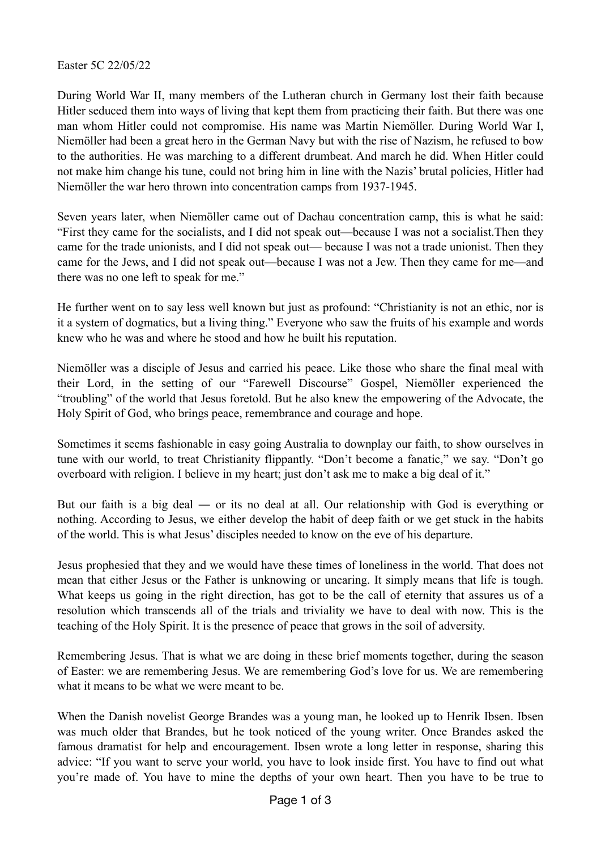Easter 5C 22/05/22

During World War II, many members of the Lutheran church in Germany lost their faith because Hitler seduced them into ways of living that kept them from practicing their faith. But there was one man whom Hitler could not compromise. His name was Martin Niemöller. During World War I, Niemöller had been a great hero in the German Navy but with the rise of Nazism, he refused to bow to the authorities. He was marching to a different drumbeat. And march he did. When Hitler could not make him change his tune, could not bring him in line with the Nazis' brutal policies, Hitler had Niemöller the war hero thrown into concentration camps from 1937-1945.

Seven years later, when Niemöller came out of Dachau concentration camp, this is what he said: "First they came for the socialists, and I did not speak out—because I was not a socialist.Then they came for the trade unionists, and I did not speak out— because I was not a trade unionist. Then they came for the Jews, and I did not speak out—because I was not a Jew. Then they came for me—and there was no one left to speak for me."

He further went on to say less well known but just as profound: "Christianity is not an ethic, nor is it a system of dogmatics, but a living thing." Everyone who saw the fruits of his example and words knew who he was and where he stood and how he built his reputation.

Niemöller was a disciple of Jesus and carried his peace. Like those who share the final meal with their Lord, in the setting of our "Farewell Discourse" Gospel, Niemöller experienced the "troubling" of the world that Jesus foretold. But he also knew the empowering of the Advocate, the Holy Spirit of God, who brings peace, remembrance and courage and hope.

Sometimes it seems fashionable in easy going Australia to downplay our faith, to show ourselves in tune with our world, to treat Christianity flippantly. "Don't become a fanatic," we say. "Don't go overboard with religion. I believe in my heart; just don't ask me to make a big deal of it."

But our faith is a big deal — or its no deal at all. Our relationship with God is everything or nothing. According to Jesus, we either develop the habit of deep faith or we get stuck in the habits of the world. This is what Jesus' disciples needed to know on the eve of his departure.

Jesus prophesied that they and we would have these times of loneliness in the world. That does not mean that either Jesus or the Father is unknowing or uncaring. It simply means that life is tough. What keeps us going in the right direction, has got to be the call of eternity that assures us of a resolution which transcends all of the trials and triviality we have to deal with now. This is the teaching of the Holy Spirit. It is the presence of peace that grows in the soil of adversity.

Remembering Jesus. That is what we are doing in these brief moments together, during the season of Easter: we are remembering Jesus. We are remembering God's love for us. We are remembering what it means to be what we were meant to be.

When the Danish novelist George Brandes was a young man, he looked up to Henrik Ibsen. Ibsen was much older that Brandes, but he took noticed of the young writer. Once Brandes asked the famous dramatist for help and encouragement. Ibsen wrote a long letter in response, sharing this advice: "If you want to serve your world, you have to look inside first. You have to find out what you're made of. You have to mine the depths of your own heart. Then you have to be true to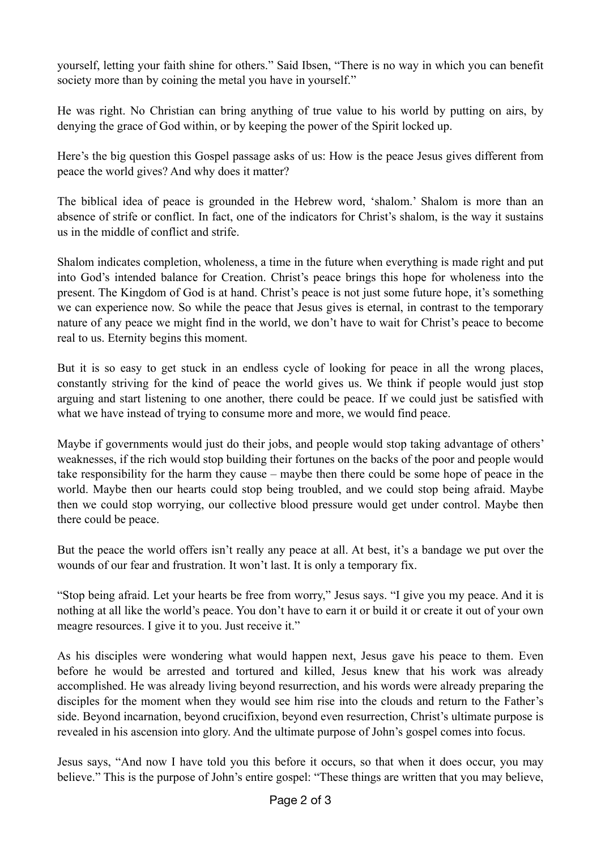yourself, letting your faith shine for others." Said Ibsen, "There is no way in which you can benefit society more than by coining the metal you have in yourself."

He was right. No Christian can bring anything of true value to his world by putting on airs, by denying the grace of God within, or by keeping the power of the Spirit locked up.

Here's the big question this Gospel passage asks of us: How is the peace Jesus gives different from peace the world gives? And why does it matter?

The biblical idea of peace is grounded in the Hebrew word, 'shalom.' Shalom is more than an absence of strife or conflict. In fact, one of the indicators for Christ's shalom, is the way it sustains us in the middle of conflict and strife.

Shalom indicates completion, wholeness, a time in the future when everything is made right and put into God's intended balance for Creation. Christ's peace brings this hope for wholeness into the present. The Kingdom of God is at hand. Christ's peace is not just some future hope, it's something we can experience now. So while the peace that Jesus gives is eternal, in contrast to the temporary nature of any peace we might find in the world, we don't have to wait for Christ's peace to become real to us. Eternity begins this moment.

But it is so easy to get stuck in an endless cycle of looking for peace in all the wrong places, constantly striving for the kind of peace the world gives us. We think if people would just stop arguing and start listening to one another, there could be peace. If we could just be satisfied with what we have instead of trying to consume more and more, we would find peace.

Maybe if governments would just do their jobs, and people would stop taking advantage of others' weaknesses, if the rich would stop building their fortunes on the backs of the poor and people would take responsibility for the harm they cause – maybe then there could be some hope of peace in the world. Maybe then our hearts could stop being troubled, and we could stop being afraid. Maybe then we could stop worrying, our collective blood pressure would get under control. Maybe then there could be peace.

But the peace the world offers isn't really any peace at all. At best, it's a bandage we put over the wounds of our fear and frustration. It won't last. It is only a temporary fix.

"Stop being afraid. Let your hearts be free from worry," Jesus says. "I give you my peace. And it is nothing at all like the world's peace. You don't have to earn it or build it or create it out of your own meagre resources. I give it to you. Just receive it."

As his disciples were wondering what would happen next, Jesus gave his peace to them. Even before he would be arrested and tortured and killed, Jesus knew that his work was already accomplished. He was already living beyond resurrection, and his words were already preparing the disciples for the moment when they would see him rise into the clouds and return to the Father's side. Beyond incarnation, beyond crucifixion, beyond even resurrection, Christ's ultimate purpose is revealed in his ascension into glory. And the ultimate purpose of John's gospel comes into focus.

Jesus says, "And now I have told you this before it occurs, so that when it does occur, you may believe." This is the purpose of John's entire gospel: "These things are written that you may believe,